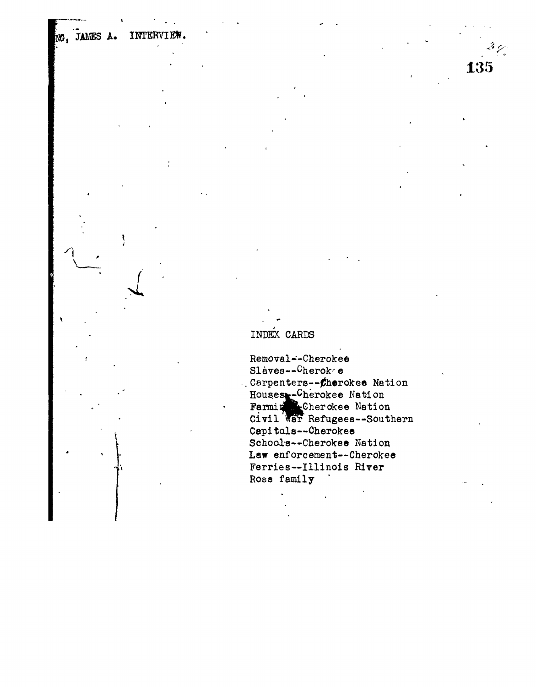## INDEX CARDS

NG, JAMES A.

INTERVIE

Removal--Cherokee Slaves--Cheroke ..Carpenters--Cherokee Nation Houses-Cherokee Nation<br>Farming Cherokee Nation<br>Civil War Refugees-Southern Capitals--Cherokee Schools--Cherokee Nation Law enforcement--Cherokee Ferries--Illinois River Ross family

135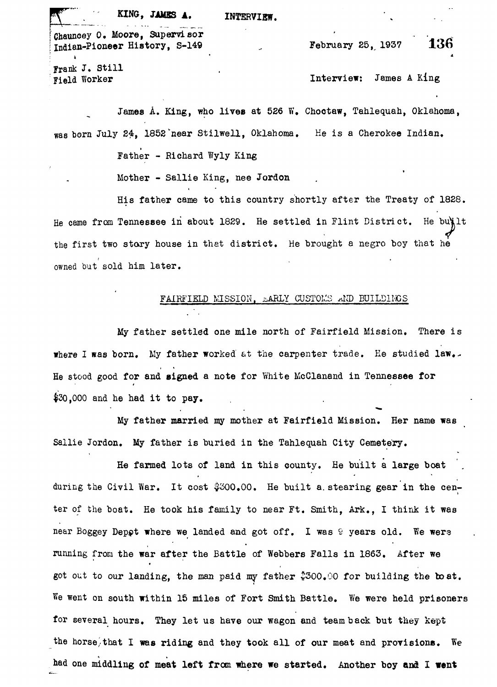KING, **JAMBS A.** INTERVIEW.

Chauncey O. Moore, Supervisor<br>
Indian-Pioneer History, S-149<br>
Tebruary 25, 1937 136 Indian-Pioneer History, S-149  $\frac{1}{2}$  •  $\frac{1}{2}$  •  $\frac{1}{2}$  •  $\frac{1}{2}$  •  $\frac{1}{2}$  •  $\frac{1}{2}$  •  $\frac{1}{2}$  •  $\frac{1}{2}$  •  $\frac{1}{2}$  •  $\frac{1}{2}$  •  $\frac{1}{2}$  •  $\frac{1}{2}$  •  $\frac{1}{2}$  •  $\frac{1}{2}$  •  $\frac{1}{2}$  •  $\frac{1}{2}$  •  $\frac{1}{2}$  •  $\frac{1}{2}$  •  $\frac{1$ 

Frank J. Still

Field Worker **Interview:** James A King

James A. King, who lives at 526 W. Choctaw, Tahlequah, Oklahoma, was born July 24, 1852"near Stilwell, Oklahoma. He is a Cherokee Indian.

Father - Richard Wyly King

 $\mathcal{M}=\mathcal{M}=\mathcal{M}=\mathcal{M}=\mathcal{M}=\mathcal{M}=\mathcal{M}=\mathcal{M}=\mathcal{M}=\mathcal{M}=\mathcal{M}=\mathcal{M}=\mathcal{M}=\mathcal{M}=\mathcal{M}=\mathcal{M}=\mathcal{M}=\mathcal{M}=\mathcal{M}=\mathcal{M}=\mathcal{M}=\mathcal{M}=\mathcal{M}=\mathcal{M}=\mathcal{M}=\mathcal{M}=\mathcal{M}=\mathcal{M}=\mathcal{M}=\mathcal{M}=\mathcal{M}=\mathcal{M}=\mathcal{M}=\mathcal{M}=\mathcal{M}=\mathcal{M}=\mathcal{$ He came from Tennessee in about 1829. He settled in Flint District. He built the first two story house in that district. He brought a negro boy that he the first two story house in that distribution in that distribution  $\mathcal{L}_{\mathcal{A}}$ 

## FAIRFIELD MISSION, EARLY CUSTOMS AND BUILDINGS

My father settled one mile north of Fairfield Mission. There is where I »as born. My father worked at the carpenter trade. He studied **law,..** He stood good for and signed a note for White McClanand in Tennessee for  $$30,000$  and he had it to pay.

My father married my mother at Fairfield Mission. Her name was Sallie Jordon. My father is buried in the Tahlequah City Cemetery.

He farmed lots of land in this county. He built a large boat during the Civil War. It cost  $$300,00$ . He built a stearing gear in the center of the boat. He took his family to near Ft. Smith, Ark., I think it was near Boggey Depot where we landed and got off. I was 9 years old. We were running from the war after the Battle of Webbers Falls in 1863. After we got out to our landing, the man paid my father  $$300.00$  for building the boat. We went on south within 15 miles of Fort Smith Battle. We were held prisoners for several hours. They let us have our wagon and team back but they kept the horse/that I was riding and they took all of our meat and provisions. We had one middling of meat left from where we started. Another boy and I went